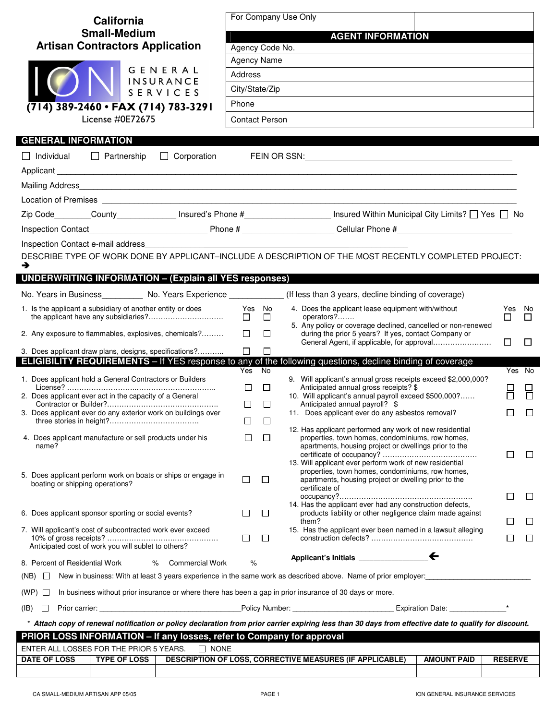| California                                                                                                                                             |                          | For Company Use Only    |                                                                                                                                                                                       |                |              |  |  |  |
|--------------------------------------------------------------------------------------------------------------------------------------------------------|--------------------------|-------------------------|---------------------------------------------------------------------------------------------------------------------------------------------------------------------------------------|----------------|--------------|--|--|--|
| <b>Small-Medium</b>                                                                                                                                    | <b>AGENT INFORMATION</b> |                         |                                                                                                                                                                                       |                |              |  |  |  |
| <b>Artisan Contractors Application</b>                                                                                                                 | Agency Code No.          |                         |                                                                                                                                                                                       |                |              |  |  |  |
| GENERAL                                                                                                                                                |                          | Agency Name             |                                                                                                                                                                                       |                |              |  |  |  |
| INSURANCE                                                                                                                                              | Address                  |                         |                                                                                                                                                                                       |                |              |  |  |  |
| SERVICES                                                                                                                                               | City/State/Zip           |                         |                                                                                                                                                                                       |                |              |  |  |  |
| (714) 389-2460 • FAX (714) 783-3291                                                                                                                    | Phone                    |                         |                                                                                                                                                                                       |                |              |  |  |  |
| License #0E72675                                                                                                                                       |                          | <b>Contact Person</b>   |                                                                                                                                                                                       |                |              |  |  |  |
| <b>GENERAL INFORMATION</b>                                                                                                                             |                          |                         |                                                                                                                                                                                       |                |              |  |  |  |
| $\Box$ Corporation<br>$\Box$ Individual $\Box$ Partnership                                                                                             |                          |                         |                                                                                                                                                                                       |                |              |  |  |  |
|                                                                                                                                                        |                          |                         |                                                                                                                                                                                       |                |              |  |  |  |
| Mailing Address                                                                                                                                        |                          |                         |                                                                                                                                                                                       |                |              |  |  |  |
|                                                                                                                                                        |                          |                         |                                                                                                                                                                                       |                |              |  |  |  |
|                                                                                                                                                        |                          |                         | Zip Code________County______________ Insured's Phone #_____________________ Insured Within Municipal City Limits? $\Box$ Yes $\Box$ No                                                |                |              |  |  |  |
|                                                                                                                                                        |                          |                         |                                                                                                                                                                                       |                |              |  |  |  |
| Inspection Contact e-mail address                                                                                                                      |                          |                         |                                                                                                                                                                                       |                |              |  |  |  |
|                                                                                                                                                        |                          |                         | DESCRIBE TYPE OF WORK DONE BY APPLICANT-INCLUDE A DESCRIPTION OF THE MOST RECENTLY COMPLETED PROJECT:                                                                                 |                |              |  |  |  |
| →                                                                                                                                                      |                          |                         |                                                                                                                                                                                       |                |              |  |  |  |
| <b>UNDERWRITING INFORMATION - (Explain all YES responses)</b>                                                                                          |                          |                         |                                                                                                                                                                                       |                |              |  |  |  |
| No. Years in Business___________ No. Years Experience ______________(If less than 3 years, decline binding of coverage)                                |                          |                         |                                                                                                                                                                                       |                |              |  |  |  |
| 1. Is the applicant a subsidiary of another entity or does                                                                                             |                          | Yes No<br>$\Box$ $\Box$ | 4. Does the applicant lease equipment with/without<br>operators?                                                                                                                      | Yes No<br>П    | $\perp$      |  |  |  |
| 2. Any exposure to flammables, explosives, chemicals?                                                                                                  |                          | $\Box$ $\Box$           | 5. Any policy or coverage declined, cancelled or non-renewed<br>during the prior 5 years? If yes, contact Company or                                                                  | $\Box$         | $\Box$       |  |  |  |
| 3. Does applicant draw plans, designs, specifications?                                                                                                 | $\Box$                   | $\Box$                  |                                                                                                                                                                                       |                |              |  |  |  |
| <b>ELIGIBILITY REQUIREMENTS</b> - If YES response to any of the following questions, decline binding of coverage                                       | Yes No                   |                         |                                                                                                                                                                                       |                | Yes No       |  |  |  |
| 1. Does applicant hold a General Contractors or Builders                                                                                               |                          |                         | 9. Will applicant's annual gross receipts exceed \$2,000,000?                                                                                                                         |                |              |  |  |  |
| 2. Does applicant ever act in the capacity of a General                                                                                                | П                        | $\Box$                  | Anticipated annual gross receipts? \$<br>10. Will applicant's annual payroll exceed \$500,000?                                                                                        |                |              |  |  |  |
| 3. Does applicant ever do any exterior work on buildings over                                                                                          | $\Box$                   | $\Box$                  | Anticipated annual payroll? \$<br>11. Does applicant ever do any asbestos removal?                                                                                                    | □              | П            |  |  |  |
|                                                                                                                                                        | ⊔                        | □                       |                                                                                                                                                                                       |                |              |  |  |  |
| 4. Does applicant manufacture or sell products under his<br>name?                                                                                      |                          | ப                       | 12. Has applicant performed any work of new residential<br>properties, town homes, condominiums, row homes,<br>apartments, housing project or dwellings prior to the                  | $\mathsf{L}$   | ⊔            |  |  |  |
| 5. Does applicant perform work on boats or ships or engage in<br>boating or shipping operations?                                                       | $\Box$                   | $\Box$                  | 13. Will applicant ever perform work of new residential<br>properties, town homes, condominiums, row homes,<br>apartments, housing project or dwelling prior to the<br>certificate of |                |              |  |  |  |
|                                                                                                                                                        |                          |                         | 14. Has the applicant ever had any construction defects,                                                                                                                              | ΙI             | $\Box$       |  |  |  |
| 6. Does applicant sponsor sporting or social events?                                                                                                   | $\perp$                  | $\Box$                  | products liability or other negligence claim made against<br>them?                                                                                                                    |                | $\mathbf{L}$ |  |  |  |
| 7. Will applicant's cost of subcontracted work ever exceed                                                                                             |                          |                         | 15. Has the applicant ever been named in a lawsuit alleging                                                                                                                           |                |              |  |  |  |
| Anticipated cost of work you will sublet to others?                                                                                                    | $\Box$                   | $\Box$                  |                                                                                                                                                                                       | L              | $\Box$       |  |  |  |
| 8. Percent of Residential Work<br><b>Commercial Work</b><br>℅                                                                                          | %                        |                         |                                                                                                                                                                                       |                |              |  |  |  |
| (NB)<br>$\mathbf{1}$                                                                                                                                   |                          |                         | New in business: With at least 3 years experience in the same work as described above. Name of prior employer:                                                                        |                |              |  |  |  |
|                                                                                                                                                        |                          |                         |                                                                                                                                                                                       |                |              |  |  |  |
| In business without prior insurance or where there has been a gap in prior insurance of 30 days or more.<br>$(WP)$ $\Box$                              |                          |                         |                                                                                                                                                                                       |                |              |  |  |  |
| $(\mathsf{IB})$<br>$\Box$                                                                                                                              |                          |                         |                                                                                                                                                                                       |                |              |  |  |  |
| * Attach copy of renewal notification or policy declaration from prior carrier expiring less than 30 days from effective date to qualify for discount. |                          |                         |                                                                                                                                                                                       |                |              |  |  |  |
| PRIOR LOSS INFORMATION - If any losses, refer to Company for approval<br>$\Box$ NONE                                                                   |                          |                         |                                                                                                                                                                                       |                |              |  |  |  |
| ENTER ALL LOSSES FOR THE PRIOR 5 YEARS.<br><b>DATE OF LOSS</b><br><b>TYPE OF LOSS</b>                                                                  |                          |                         | <b>DESCRIPTION OF LOSS, CORRECTIVE MEASURES (IF APPLICABLE)</b><br><b>AMOUNT PAID</b>                                                                                                 | <b>RESERVE</b> |              |  |  |  |
|                                                                                                                                                        |                          |                         |                                                                                                                                                                                       |                |              |  |  |  |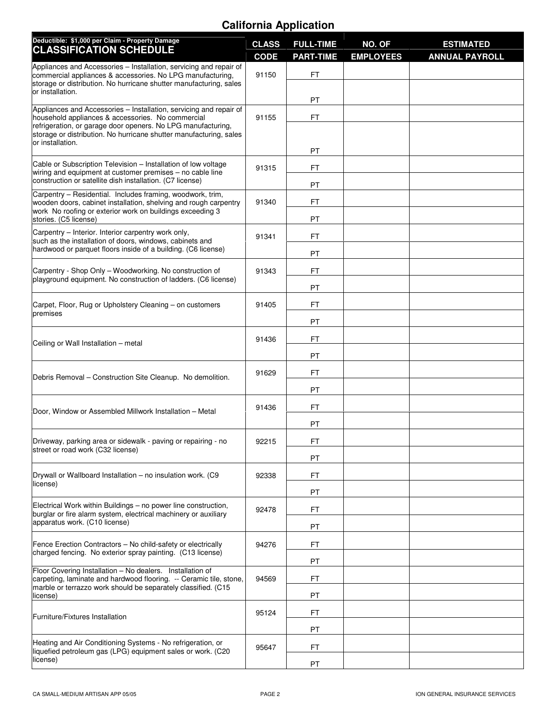## **California Application**

| Deductible: \$1,000 per Claim - Property Damage<br><b>CLASSIFICATION SCHEDULE</b>                                                                                                                                    | <b>CLASS</b><br><b>CODE</b> | <b>FULL-TIME</b><br><b>PART-TIME</b> | NO. OF<br><b>EMPLOYEES</b> | <b>ESTIMATED</b><br><b>ANNUAL PAYROLL</b> |
|----------------------------------------------------------------------------------------------------------------------------------------------------------------------------------------------------------------------|-----------------------------|--------------------------------------|----------------------------|-------------------------------------------|
| Appliances and Accessories - Installation, servicing and repair of                                                                                                                                                   | 91150                       | FT                                   |                            |                                           |
| commercial appliances & accessories. No LPG manufacturing,<br>storage or distribution. No hurricane shutter manufacturing, sales                                                                                     |                             |                                      |                            |                                           |
| or installation.                                                                                                                                                                                                     |                             | PT                                   |                            |                                           |
| Appliances and Accessories - Installation, servicing and repair of<br>household appliances & accessories. No commercial                                                                                              | 91155                       | FT                                   |                            |                                           |
| refrigeration, or garage door openers. No LPG manufacturing,<br>storage or distribution. No hurricane shutter manufacturing, sales                                                                                   |                             |                                      |                            |                                           |
| or installation.                                                                                                                                                                                                     |                             | PT                                   |                            |                                           |
| Cable or Subscription Television - Installation of low voltage<br>wiring and equipment at customer premises - no cable line                                                                                          | 91315                       | FT                                   |                            |                                           |
| construction or satellite dish installation. (C7 license)                                                                                                                                                            |                             | PT                                   |                            |                                           |
| Carpentry - Residential. Includes framing, woodwork, trim,<br>wooden doors, cabinet installation, shelving and rough carpentry<br>work No roofing or exterior work on buildings exceeding 3<br>stories. (C5 license) | 91340                       | <b>FT</b>                            |                            |                                           |
|                                                                                                                                                                                                                      |                             | PT                                   |                            |                                           |
| Carpentry - Interior. Interior carpentry work only,<br>such as the installation of doors, windows, cabinets and                                                                                                      | 91341                       | FT                                   |                            |                                           |
| hardwood or parquet floors inside of a building. (C6 license)                                                                                                                                                        |                             | PT                                   |                            |                                           |
| Carpentry - Shop Only - Woodworking. No construction of                                                                                                                                                              | 91343                       | FT                                   |                            |                                           |
| playground equipment. No construction of ladders. (C6 license)                                                                                                                                                       |                             | PT                                   |                            |                                           |
| Carpet, Floor, Rug or Upholstery Cleaning - on customers                                                                                                                                                             | 91405                       | FT                                   |                            |                                           |
| premises                                                                                                                                                                                                             |                             | PT                                   |                            |                                           |
| Ceiling or Wall Installation - metal                                                                                                                                                                                 | 91436                       | <b>FT</b>                            |                            |                                           |
|                                                                                                                                                                                                                      |                             | PT                                   |                            |                                           |
| Debris Removal – Construction Site Cleanup. No demolition.                                                                                                                                                           | 91629                       | FT                                   |                            |                                           |
|                                                                                                                                                                                                                      |                             | PT                                   |                            |                                           |
| Door, Window or Assembled Millwork Installation - Metal                                                                                                                                                              | 91436                       | FT                                   |                            |                                           |
|                                                                                                                                                                                                                      |                             | PT                                   |                            |                                           |
| Driveway, parking area or sidewalk - paving or repairing - no<br>street or road work (C32 license)                                                                                                                   | 92215                       | FT                                   |                            |                                           |
|                                                                                                                                                                                                                      |                             | PT                                   |                            |                                           |
| Drywall or Wallboard Installation - no insulation work. (C9                                                                                                                                                          | 92338                       | FT                                   |                            |                                           |
| license)                                                                                                                                                                                                             |                             | PT                                   |                            |                                           |
| Electrical Work within Buildings - no power line construction,<br>burglar or fire alarm system, electrical machinery or auxiliary                                                                                    | 92478                       | FT                                   |                            |                                           |
| apparatus work. (C10 license)                                                                                                                                                                                        |                             | PT                                   |                            |                                           |
| Fence Erection Contractors - No child-safety or electrically                                                                                                                                                         | 94276                       | FT                                   |                            |                                           |
| charged fencing. No exterior spray painting. (C13 license)                                                                                                                                                           |                             | PT                                   |                            |                                           |
| Floor Covering Installation - No dealers. Installation of<br>carpeting, laminate and hardwood flooring. -- Ceramic tile, stone,                                                                                      | 94569                       | FT                                   |                            |                                           |
| marble or terrazzo work should be separately classified. (C15<br>license)                                                                                                                                            |                             | PT                                   |                            |                                           |
| Furniture/Fixtures Installation                                                                                                                                                                                      | 95124                       | FT                                   |                            |                                           |
|                                                                                                                                                                                                                      |                             | PT                                   |                            |                                           |
| Heating and Air Conditioning Systems - No refrigeration, or<br>liquefied petroleum gas (LPG) equipment sales or work. (C20                                                                                           | 95647                       | FT                                   |                            |                                           |
| license)                                                                                                                                                                                                             |                             | PT                                   |                            |                                           |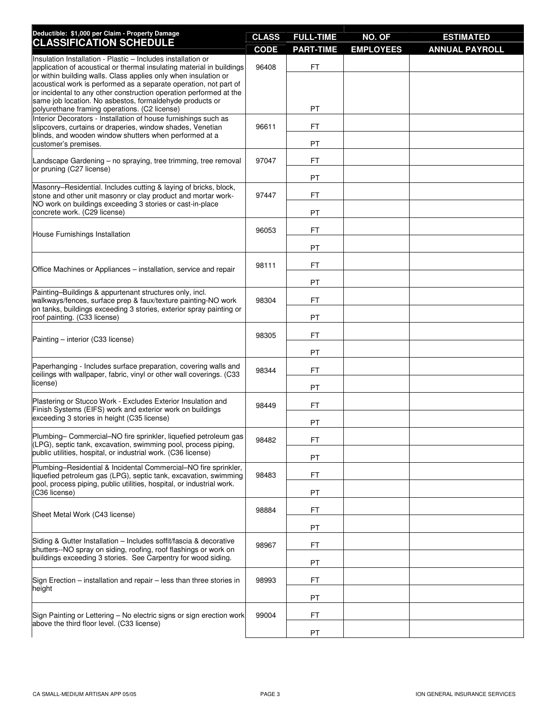| Deductible: \$1,000 per Claim - Property Damage<br><b>CLASSIFICATION SCHEDULE</b>                                                                                                                                                                                             | <b>CLASS</b><br><b>CODE</b> | <b>FULL-TIME</b><br><b>PART-TIME</b> | NO. OF<br><b>EMPLOYEES</b> | <b>ESTIMATED</b><br><b>ANNUAL PAYROLL</b> |
|-------------------------------------------------------------------------------------------------------------------------------------------------------------------------------------------------------------------------------------------------------------------------------|-----------------------------|--------------------------------------|----------------------------|-------------------------------------------|
| Insulation Installation - Plastic - Includes installation or<br>application of acoustical or thermal insulating material in buildings<br>or within building walls. Class applies only when insulation or<br>acoustical work is performed as a separate operation, not part of | 96408                       | FT                                   |                            |                                           |
| or incidental to any other construction operation performed at the<br>same job location. No asbestos, formaldehyde products or<br>polyurethane framing operations. (C2 license)                                                                                               |                             | <b>PT</b>                            |                            |                                           |
| Interior Decorators - Installation of house furnishings such as<br>slipcovers, curtains or draperies, window shades, Venetian                                                                                                                                                 |                             | FT                                   |                            |                                           |
| blinds, and wooden window shutters when performed at a<br>customer's premises.                                                                                                                                                                                                |                             | PT                                   |                            |                                           |
| Landscape Gardening – no spraying, tree trimming, tree removal                                                                                                                                                                                                                | 97047                       | FT                                   |                            |                                           |
| or pruning (C27 license)                                                                                                                                                                                                                                                      |                             | PT                                   |                            |                                           |
| Masonry-Residential. Includes cutting & laying of bricks, block,<br>stone and other unit masonry or clay product and mortar work-<br>NO work on buildings exceeding 3 stories or cast-in-place                                                                                | 97447                       | FT                                   |                            |                                           |
| concrete work. (C29 license)                                                                                                                                                                                                                                                  |                             | <b>PT</b>                            |                            |                                           |
| House Furnishings Installation                                                                                                                                                                                                                                                | 96053                       | FT                                   |                            |                                           |
|                                                                                                                                                                                                                                                                               |                             | <b>PT</b>                            |                            |                                           |
| Office Machines or Appliances - installation, service and repair                                                                                                                                                                                                              | 98111                       | FT                                   |                            |                                           |
|                                                                                                                                                                                                                                                                               |                             | <b>PT</b>                            |                            |                                           |
| Painting-Buildings & appurtenant structures only, incl.<br>walkways/fences, surface prep & faux/texture painting-NO work                                                                                                                                                      | 98304                       | FT                                   |                            |                                           |
| on tanks, buildings exceeding 3 stories, exterior spray painting or<br>roof painting. (C33 license)                                                                                                                                                                           |                             | PT                                   |                            |                                           |
| Painting - interior (C33 license)                                                                                                                                                                                                                                             | 98305                       | FT                                   |                            |                                           |
|                                                                                                                                                                                                                                                                               |                             | <b>PT</b>                            |                            |                                           |
| Paperhanging - Includes surface preparation, covering walls and<br>ceilings with wallpaper, fabric, vinyl or other wall coverings. (C33                                                                                                                                       | 98344                       | FT                                   |                            |                                           |
| license)                                                                                                                                                                                                                                                                      |                             | PT                                   |                            |                                           |
| Plastering or Stucco Work - Excludes Exterior Insulation and<br>Finish Systems (EIFS) work and exterior work on buildings<br>exceeding 3 stories in height (C35 license)                                                                                                      | 98449                       | FT                                   |                            |                                           |
|                                                                                                                                                                                                                                                                               |                             | <b>PT</b>                            |                            |                                           |
| Plumbing- Commercial-NO fire sprinkler, liquefied petroleum gas<br>(LPG), septic tank, excavation, swimming pool, process piping,<br>public utilities, hospital, or industrial work. (C36 license)<br>Plumbing-Residential & Incidental Commercial-NO fire sprinkler,         | 98482                       | FT                                   |                            |                                           |
|                                                                                                                                                                                                                                                                               |                             | PT                                   |                            |                                           |
| liquefied petroleum gas (LPG), septic tank, excavation, swimming<br>pool, process piping, public utilities, hospital, or industrial work.                                                                                                                                     | 98483                       | FT                                   |                            |                                           |
| (C36 license)                                                                                                                                                                                                                                                                 |                             | PT                                   |                            |                                           |
| Sheet Metal Work (C43 license)                                                                                                                                                                                                                                                | 98884                       | FT                                   |                            |                                           |
|                                                                                                                                                                                                                                                                               |                             | PT                                   |                            |                                           |
| Siding & Gutter Installation - Includes soffit/fascia & decorative<br>shutters--NO spray on siding, roofing, roof flashings or work on                                                                                                                                        | 98967                       | FT                                   |                            |                                           |
| buildings exceeding 3 stories. See Carpentry for wood siding.                                                                                                                                                                                                                 |                             | PT                                   |                            |                                           |
| Sign Erection – installation and repair – less than three stories in<br>height                                                                                                                                                                                                | 98993                       | FT                                   |                            |                                           |
|                                                                                                                                                                                                                                                                               |                             | PT                                   |                            |                                           |
| Sign Painting or Lettering - No electric signs or sign erection work                                                                                                                                                                                                          | 99004                       | FT                                   |                            |                                           |
| above the third floor level. (C33 license)                                                                                                                                                                                                                                    |                             | PT                                   |                            |                                           |